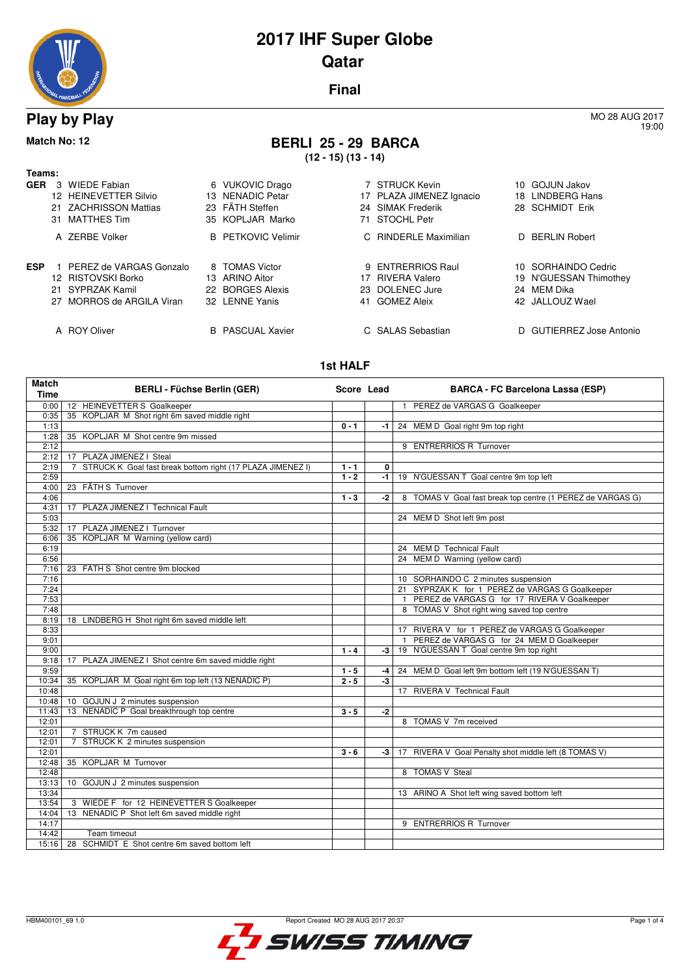

## **2017 IHF Super Globe Qatar**

**Final**

#### **Play by Play** MO 28 AUG 2017

## **Match No: 12 BERLI 25 - 29 BARCA**

**(12 - 15) (13 - 14)**

| Teams:     |                           |    |                           |                          |
|------------|---------------------------|----|---------------------------|--------------------------|
| <b>GER</b> | 3 WIEDE Fabian            |    | 6 VUKOVIC Drago           | 7 STRUCK Kevin           |
|            | 12 HEINEVETTER Silvio     |    | 13 NENADIC Petar          | 17 PLAZA JIMENEZ Ignacio |
|            | 21 ZACHRISSON Mattias     |    | 23 FÄTH Steffen           | 24 SIMAK Frederik        |
|            | 31 MATTHES Tim            |    | 35 KOPLJAR Marko          | 71 STOCHL Petr           |
|            | A ZERBE Volker            |    | <b>B</b> PETKOVIC Velimir | C RINDERLE Maximilian    |
| <b>ESP</b> | 1 PEREZ de VARGAS Gonzalo |    | 8 TOMAS Victor            | 9 ENTRERRIOS Raul        |
|            | 12 RISTOVSKI Borko        |    | 13 ARINO Aitor            | 17 RIVERA Valero         |
|            | 21 SYPRZAK Kamil          |    | 22 BORGES Alexis          | 23 DOLENEC Jure          |
|            | 27 MORROS de ARGILA Viran |    | 32 LENNE Yanis            | 41 GOMEZ Aleix           |
|            |                           |    |                           |                          |
|            | A ROY Oliver              | B. | <b>PASCUAL Xavier</b>     | C SALAS Sebastian        |

#### **1st HALF**

| <b>Match</b><br><b>Time</b> | <b>BERLI - Füchse Berlin (GER)</b>                                           |         | Score Lead | <b>BARCA - FC Barcelona Lassa (ESP)</b>                      |
|-----------------------------|------------------------------------------------------------------------------|---------|------------|--------------------------------------------------------------|
| 0:00                        | 12 HEINEVETTER S Goalkeeper                                                  |         |            | PEREZ de VARGAS G Goalkeeper<br>$\mathbf{1}$                 |
| 0:35                        | 35 KOPLJAR M Shot right 6m saved middle right                                |         |            |                                                              |
| 1:13                        |                                                                              | $0 - 1$ | $-1$       | 24 MEM D Goal right 9m top right                             |
| 1:28                        | 35 KOPLJAR M Shot centre 9m missed                                           |         |            |                                                              |
| 2:12                        |                                                                              |         |            | 9 ENTRERRIOS R Turnover                                      |
| 2:12                        | 17 PLAZA JIMENEZ I Steal                                                     |         |            |                                                              |
| 2:19                        | STRUCK K Goal fast break bottom right (17 PLAZA JIMENEZ I)<br>$\overline{7}$ | $1 - 1$ | 0          |                                                              |
| 2:59                        |                                                                              | $1 - 2$ | $-1$       | 19 N'GUESSAN T Goal centre 9m top left                       |
| 4:00                        | 23 FÄTH S Turnover                                                           |         |            |                                                              |
| 4:06                        |                                                                              | $1 - 3$ | -2         | 8 TOMAS V Goal fast break top centre (1 PEREZ de VARGAS G)   |
| 4:31                        | 17 PLAZA JIMENEZ   Technical Fault                                           |         |            |                                                              |
| 5:03                        |                                                                              |         |            | 24 MEM D Shot left 9m post                                   |
| 5:32                        | 17 PLAZA JIMENEZ   Turnover                                                  |         |            |                                                              |
| 6:06                        | 35 KOPLJAR M Warning (yellow card)                                           |         |            |                                                              |
| 6:19                        |                                                                              |         |            | 24 MEM D Technical Fault                                     |
| 6:56                        |                                                                              |         |            | 24 MEM D Warning (yellow card)                               |
| 7:16                        | 23 FÄTH S Shot centre 9m blocked                                             |         |            |                                                              |
| 7:16                        |                                                                              |         |            | 10 SORHAINDO C 2 minutes suspension                          |
| 7:24                        |                                                                              |         |            | 21 SYPRZAK K for 1 PEREZ de VARGAS G Goalkeeper              |
| 7:53                        |                                                                              |         |            | PEREZ de VARGAS G for 17 RIVERA V Goalkeeper<br>$\mathbf{1}$ |
| 7:48                        |                                                                              |         |            | 8 TOMAS V Shot right wing saved top centre                   |
| 8:19                        | 18 LINDBERG H Shot right 6m saved middle left                                |         |            |                                                              |
| 8:33                        |                                                                              |         |            | 17 RIVERA V for 1 PEREZ de VARGAS G Goalkeeper               |
| 9:01                        |                                                                              |         |            | PEREZ de VARGAS G for 24 MEM D Goalkeeper<br>$\mathbf{1}$    |
| 9:00                        |                                                                              | $1 - 4$ | -3         | 19 N'GUESSAN T Goal centre 9m top right                      |
| 9:18                        | PLAZA JIMENEZ I Shot centre 6m saved middle right<br>17                      |         |            |                                                              |
| 9:59                        |                                                                              | $1 - 5$ | -4         | 24 MEM D Goal left 9m bottom left (19 N'GUESSAN T)           |
| 10:34                       | 35 KOPLJAR M Goal right 6m top left (13 NENADIC P)                           | $2 - 5$ | -3         |                                                              |
| 10:48                       |                                                                              |         |            | 17 RIVERA V Technical Fault                                  |
| 10:48                       | 10 GOJUN J 2 minutes suspension                                              |         |            |                                                              |
| 11:43                       | 13 NENADIC P Goal breakthrough top centre                                    | $3 - 5$ | -2         |                                                              |
| 12:01                       |                                                                              |         |            | 8 TOMAS V 7m received                                        |
| 12:01                       | 7 STRUCK K 7m caused                                                         |         |            |                                                              |
| 12:01                       | STRUCK K 2 minutes suspension<br>$\overline{7}$                              |         |            |                                                              |
| 12:01                       |                                                                              | $3 - 6$ | $-3$       | 17 RIVERA V Goal Penalty shot middle left (8 TOMAS V)        |
| 12:48                       | 35 KOPLJAR M Turnover                                                        |         |            |                                                              |
| 12:48                       |                                                                              |         |            | 8 TOMAS V Steal                                              |
| 13:13                       | 10 GOJUN J 2 minutes suspension                                              |         |            |                                                              |
| 13:34                       |                                                                              |         |            | 13 ARINO A Shot left wing saved bottom left                  |
| 13:54                       | 3 WIEDE F for 12 HEINEVETTER S Goalkeeper                                    |         |            |                                                              |
| 14:04                       | 13 NENADIC P Shot left 6m saved middle right                                 |         |            |                                                              |
| 14:17                       |                                                                              |         |            | 9 ENTRERRIOS R Turnover                                      |
| 14:42                       | Team timeout                                                                 |         |            |                                                              |
|                             | 15:16   28 SCHMIDT E Shot centre 6m saved bottom left                        |         |            |                                                              |



19:00

10 GOJUN Jakov 18 LINDBERG Hans 28 SCHMIDT Erik

D BERLIN Robert

24 MEM Dika 42 JALLOUZ Wael

10 SORHAINDO Cedric 19 N'GUESSAN Thimothey

D GUTIERREZ Jose Antonio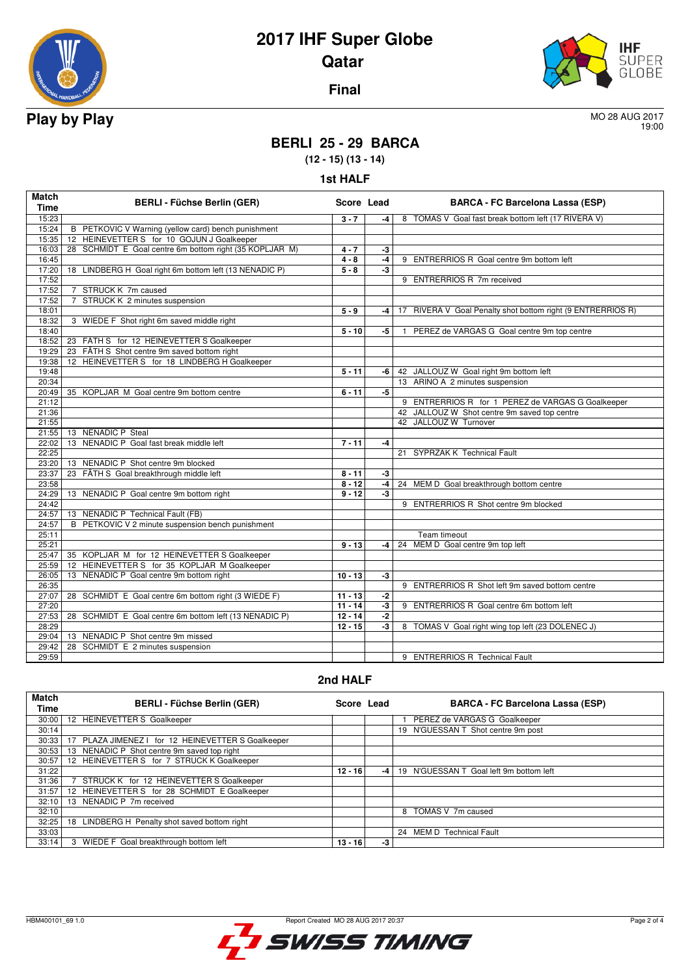

# **2017 IHF Super Globe Qatar**



**Final**

19:00

### **BERLI 25 - 29 BARCA**

**(12 - 15) (13 - 14)**

| Match<br><b>Time</b> | <b>BERLI - Füchse Berlin (GER)</b>                      | Score Lead         |                      | <b>BARCA - FC Barcelona Lassa (ESP)</b>                     |
|----------------------|---------------------------------------------------------|--------------------|----------------------|-------------------------------------------------------------|
| 15:23                |                                                         | $3 - 7$            | -4                   | 8 TOMAS V Goal fast break bottom left (17 RIVERA V)         |
| 15:24                | B PETKOVIC V Warning (yellow card) bench punishment     |                    |                      |                                                             |
| 15:35                | 12 HEINEVETTER S for 10 GOJUN J Goalkeeper              |                    |                      |                                                             |
| 16:03                | 28 SCHMIDT E Goal centre 6m bottom right (35 KOPLJAR M) | $4 - 7$            | -3                   |                                                             |
| 16:45                |                                                         | $4 - 8$            | $-4$                 | 9 ENTRERRIOS R Goal centre 9m bottom left                   |
| 17:20                | 18 LINDBERG H Goal right 6m bottom left (13 NENADIC P)  | $\overline{5} - 8$ | -3                   |                                                             |
| 17:52                |                                                         |                    |                      | 9 ENTRERRIOS R 7m received                                  |
| 17:52                | 7 STRUCK K 7m caused                                    |                    |                      |                                                             |
| 17:52                | 7 STRUCK K 2 minutes suspension                         |                    |                      |                                                             |
| 18:01                |                                                         | $5 - 9$            | -4                   | 17 RIVERA V Goal Penalty shot bottom right (9 ENTRERRIOS R) |
| 18:32                | 3 WIEDE F Shot right 6m saved middle right              |                    |                      |                                                             |
| 18:40                |                                                         | $5 - 10$           | -5                   | PEREZ de VARGAS G Goal centre 9m top centre<br>1.           |
| 18:52                | 23 FÄTH S for 12 HEINEVETTER S Goalkeeper               |                    |                      |                                                             |
| 19:29                | 23 FÄTH S Shot centre 9m saved bottom right             |                    |                      |                                                             |
| 19:38                | 12 HEINEVETTER S for 18 LINDBERG H Goalkeeper           |                    |                      |                                                             |
| 19:48                |                                                         | $5 - 11$           | -6 I                 | 42 JALLOUZ W Goal right 9m bottom left                      |
| 20:34                |                                                         |                    |                      | 13 ARINO A 2 minutes suspension                             |
| 20:49                | 35 KOPLJAR M Goal centre 9m bottom centre               | $6 - 11$           | -5                   |                                                             |
| 21:12                |                                                         |                    |                      | 9 ENTRERRIOS R for 1 PEREZ de VARGAS G Goalkeeper           |
| 21:36                |                                                         |                    |                      | 42 JALLOUZ W Shot centre 9m saved top centre                |
| 21:55                |                                                         |                    |                      | 42 JALLOUZ W Turnover                                       |
| 21:55                | 13 NENADIC P Steal                                      |                    |                      |                                                             |
| 22:02                | 13 NENADIC P Goal fast break middle left                | $7 - 11$           | -4                   |                                                             |
| 22:25                |                                                         |                    |                      | 21 SYPRZAK K Technical Fault                                |
| 23:20                | 13 NENADIC P Shot centre 9m blocked                     |                    |                      |                                                             |
| 23:37                | 23 FÄTH S Goal breakthrough middle left                 | $8 - 11$           | $-3$                 |                                                             |
| 23:58                |                                                         | $8 - 12$           | -4                   | 24 MEM D Goal breakthrough bottom centre                    |
| 24:29                | 13 NENADIC P Goal centre 9m bottom right                | $9 - 12$           | -3                   |                                                             |
| 24:42                |                                                         |                    |                      | 9 ENTRERRIOS R Shot centre 9m blocked                       |
| 24:57                | 13 NENADIC P Technical Fault (FB)                       |                    |                      |                                                             |
| 24:57                | B PETKOVIC V 2 minute suspension bench punishment       |                    |                      |                                                             |
| 25:11                |                                                         |                    |                      | Team timeout                                                |
| 25:21                |                                                         | $9 - 13$           | -4                   | 24 MEM D Goal centre 9m top left                            |
| 25:47                | 35 KOPLJAR M for 12 HEINEVETTER S Goalkeeper            |                    |                      |                                                             |
| 25:59                | 12 HEINEVETTER S for 35 KOPLJAR M Goalkeeper            |                    |                      |                                                             |
| 26:05                | 13 NENADIC P Goal centre 9m bottom right                | $10 - 13$          | $-3$                 |                                                             |
| 26:35                |                                                         |                    |                      | 9 ENTRERRIOS R Shot left 9m saved bottom centre             |
| 27:07                | 28 SCHMIDT E Goal centre 6m bottom right (3 WIEDE F)    | $11 - 13$          | -2                   |                                                             |
| 27:20                |                                                         | $11 - 14$          | $\overline{\cdot 3}$ | 9 ENTRERRIOS R Goal centre 6m bottom left                   |
| 27:53                | 28 SCHMIDT E Goal centre 6m bottom left (13 NENADIC P)  | $12 - 14$          | $-2$                 |                                                             |
| 28:29                |                                                         | $12 - 15$          | $\overline{\cdot 3}$ | 8 TOMAS V Goal right wing top left (23 DOLENEC J)           |
| 29:04                | 13 NENADIC P Shot centre 9m missed                      |                    |                      |                                                             |
| 29:42                | 28 SCHMIDT E 2 minutes suspension                       |                    |                      |                                                             |
| 29:59                |                                                         |                    |                      |                                                             |
|                      |                                                         |                    |                      | 9 ENTRERRIOS R Technical Fault                              |

#### **2nd HALF**

| <b>Match</b><br>Time | <b>BERLI - Füchse Berlin (GER)</b>                           | Score Lead |    | <b>BARCA - FC Barcelona Lassa (ESP)</b> |
|----------------------|--------------------------------------------------------------|------------|----|-----------------------------------------|
| 30:00                | 12 HEINEVETTER S Goalkeeper                                  |            |    | PEREZ de VARGAS G Goalkeeper            |
| 30:14                |                                                              |            |    | 19 N'GUESSAN T Shot centre 9m post      |
| 30:33                | PLAZA JIMENEZ   for 12 HEINEVETTER S Goalkeeper              |            |    |                                         |
| 30:53                | 13 NENADIC P Shot centre 9m saved top right                  |            |    |                                         |
| 30:57                | HEINEVETTER S for 7 STRUCK K Goalkeeper<br>12 <sup>1</sup>   |            |    |                                         |
| 31:22                |                                                              | $12 - 16$  | -4 | 19 N'GUESSAN T Goal left 9m bottom left |
| 31:36                | STRUCK K for 12 HEINEVETTER S Goalkeeper                     |            |    |                                         |
| 31:57                | HEINEVETTER S for 28 SCHMIDT E Goalkeeper<br>12 <sup>2</sup> |            |    |                                         |
| 32:10                | NENADIC P 7m received<br>13                                  |            |    |                                         |
| 32:10                |                                                              |            |    | TOMAS V 7m caused<br>8                  |
| 32:25                | LINDBERG H Penalty shot saved bottom right<br>18             |            |    |                                         |
| 33:03                |                                                              |            |    | 24 MEM D Technical Fault                |
| 33:14                | WIEDE F Goal breakthrough bottom left<br>3                   | $13 - 16$  | -3 |                                         |

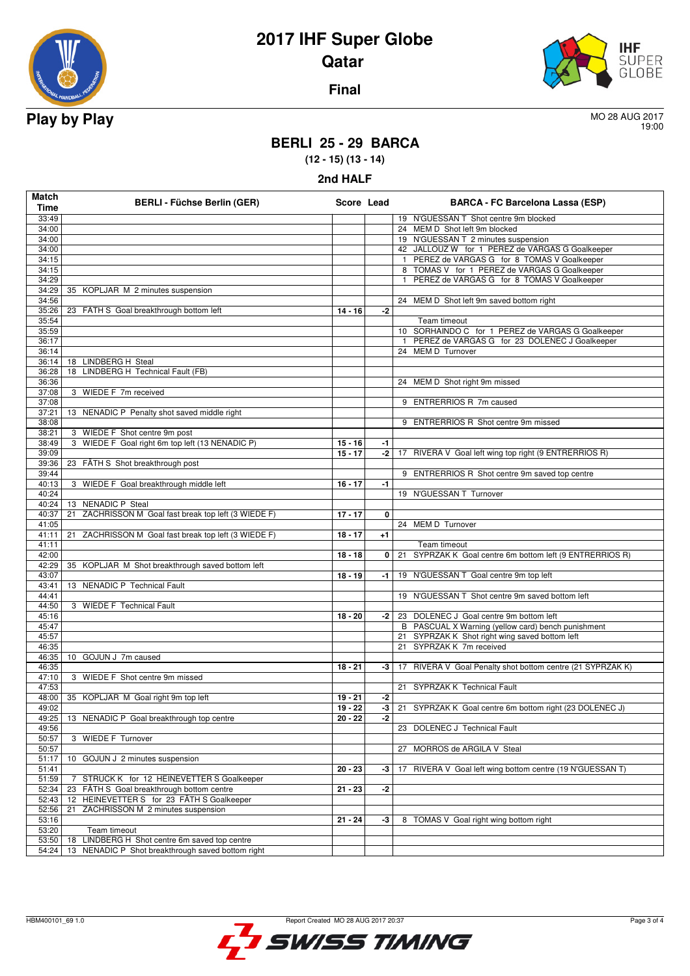

**Match**

# **2017 IHF Super Globe Qatar**

**Final**



19:00

#### **BERLI 25 - 29 BARCA**

**(12 - 15) (13 - 14) 2nd HALF**

|                                    | 2nd HALF   |                                         |
|------------------------------------|------------|-----------------------------------------|
| <b>BERLI - Füchse Berlin (GER)</b> | Score Lead | <b>BARCA - FC Barcelona Lassa (ESP)</b> |

| Time           |                                                         |           |                | <b>DATION</b> - TO Darcelona Eassa (EST)                        |
|----------------|---------------------------------------------------------|-----------|----------------|-----------------------------------------------------------------|
| 33:49          |                                                         |           |                | 19 N'GUESSAN T Shot centre 9m blocked                           |
| 34:00          |                                                         |           |                | 24 MEM D Shot left 9m blocked                                   |
| 34:00          |                                                         |           |                | 19 N'GUESSAN T 2 minutes suspension                             |
| 34:00          |                                                         |           |                | 42 JALLOUZ W for 1 PEREZ de VARGAS G Goalkeeper                 |
| 34:15          |                                                         |           |                | 1 PEREZ de VARGAS G for 8 TOMAS V Goalkeeper                    |
| 34:15          |                                                         |           |                | 8 TOMAS V for 1 PEREZ de VARGAS G Goalkeeper                    |
| 34:29          |                                                         |           |                | PEREZ de VARGAS G for 8 TOMAS V Goalkeeper                      |
| 34:29          | 35 KOPLJAR M 2 minutes suspension                       |           |                |                                                                 |
| 34:56          |                                                         |           |                | 24 MEM D Shot left 9m saved bottom right                        |
| 35:26          | 23 FÄTH S Goal breakthrough bottom left                 | $14 - 16$ | $-2$           |                                                                 |
| 35:54          |                                                         |           |                | Team timeout                                                    |
| 35:59          |                                                         |           |                | 10 SORHAINDO C for 1 PEREZ de VARGAS G Goalkeeper               |
| 36:17          |                                                         |           |                | 1 PEREZ de VARGAS G for 23 DOLENEC J Goalkeeper                 |
| 36:14          |                                                         |           |                | 24 MEM D Turnover                                               |
| 36:14          | 18 LINDBERG H Steal                                     |           |                |                                                                 |
| 36:28<br>36:36 | 18 LINDBERG H Technical Fault (FB)                      |           |                |                                                                 |
| 37:08          |                                                         |           |                | 24 MEM D Shot right 9m missed                                   |
| 37:08          | 3 WIEDE F 7m received                                   |           |                | 9 ENTRERRIOS R 7m caused                                        |
| 37:21          | 13 NENADIC P Penalty shot saved middle right            |           |                |                                                                 |
| 38:08          |                                                         |           |                | 9 ENTRERRIOS R Shot centre 9m missed                            |
| 38:21          | 3 WIEDE F Shot centre 9m post                           |           |                |                                                                 |
| 38:49          | 3 WIEDE F Goal right 6m top left (13 NENADIC P)         | $15 - 16$ | -1             |                                                                 |
| 39:09          |                                                         | $15 - 17$ |                | -2 17 RIVERA V Goal left wing top right (9 ENTRERRIOS R)        |
| 39:36          | 23 FÄTH S Shot breakthrough post                        |           |                |                                                                 |
| 39:44          |                                                         |           |                | 9 ENTRERRIOS R Shot centre 9m saved top centre                  |
| 40:13          | 3 WIEDE F Goal breakthrough middle left                 | $16 - 17$ | $-1$           |                                                                 |
| 40:24          |                                                         |           |                | 19 N'GUESSAN T Turnover                                         |
| 40:24          | 13 NENADIC P Steal                                      |           |                |                                                                 |
| 40:37          | ZACHRISSON M Goal fast break top left (3 WIEDE F)<br>21 | $17 - 17$ | $\overline{0}$ |                                                                 |
| 41:05          |                                                         |           |                | 24 MEM D Turnover                                               |
| 41:11          | 21 ZACHRISSON M Goal fast break top left (3 WIEDE F)    | $18 - 17$ | $+1$           |                                                                 |
| 41:11          |                                                         |           |                | Team timeout                                                    |
| 42:00          |                                                         | $18 - 18$ | $\mathbf{0}$   | 21 SYPRZAK K Goal centre 6m bottom left (9 ENTRERRIOS R)        |
|                |                                                         |           |                |                                                                 |
| 42:29          | 35 KOPLJAR M Shot breakthrough saved bottom left        |           |                |                                                                 |
| 43:07          |                                                         | $18 - 19$ |                | -1   19 N'GUESSAN T Goal centre 9m top left                     |
| 43:41          | 13 NENADIC P Technical Fault                            |           |                |                                                                 |
| 44:41          |                                                         |           |                | 19 N'GUESSAN T Shot centre 9m saved bottom left                 |
| 44:50          | 3 WIEDE F Technical Fault                               |           |                |                                                                 |
| 45:16          |                                                         | $18 - 20$ | -2             | 23 DOLENEC J Goal centre 9m bottom left                         |
| 45:47          |                                                         |           |                | B PASCUAL X Warning (yellow card) bench punishment              |
| 45:57          |                                                         |           |                | 21 SYPRZAK K Shot right wing saved bottom left                  |
| 46:35          |                                                         |           |                | 21 SYPRZAK K 7m received                                        |
| 46:35          | 10 GOJUN J 7m caused                                    |           |                |                                                                 |
| 46:35          |                                                         | $18 - 21$ |                | -3   17 RIVERA V Goal Penalty shot bottom centre (21 SYPRZAK K) |
| 47:10          | 3 WIEDE F Shot centre 9m missed                         |           |                |                                                                 |
| 47:53          |                                                         |           |                | 21 SYPRZAK K Technical Fault                                    |
| 48:00          | 35 KOPLJAR M Goal right 9m top left                     | $19 - 21$ | $-2$           |                                                                 |
| 49:02          |                                                         | $19 - 22$ | -3             | 21 SYPRZAK K Goal centre 6m bottom right (23 DOLENEC J)         |
|                | 49:25 13 NENADIC P Goal breakthrough top centre         | $20 - 22$ | $-2$           |                                                                 |
| 49:56          |                                                         |           |                | 23 DOLENEC J Technical Fault                                    |
| 50:57          | 3 WIEDE F Turnover                                      |           |                |                                                                 |
| 50:57          |                                                         |           |                | 27 MORROS de ARGILA V Steal                                     |
| 51:17          | 10 GOJUN J 2 minutes suspension                         |           |                |                                                                 |
| 51:41          |                                                         | $20 - 23$ | $-3$           | 17 RIVERA V Goal left wing bottom centre (19 N'GUESSAN T)       |
| 51:59          | 7 STRUCK K for 12 HEINEVETTER S Goalkeeper              |           |                |                                                                 |
| 52:34          | FÄTH S Goal breakthrough bottom centre<br>23            | $21 - 23$ | -2             |                                                                 |
| 52:43          | 12 HEINEVETTER S for 23 FÄTH S Goalkeeper               |           |                |                                                                 |
| 52:56          | ZACHRISSON M 2 minutes suspension<br>21                 |           |                |                                                                 |
| 53:16          | Team timeout                                            | $21 - 24$ | $-3$           | 8 TOMAS V Goal right wing bottom right                          |
| 53:20<br>53:50 | 18 LINDBERG H Shot centre 6m saved top centre           |           |                |                                                                 |